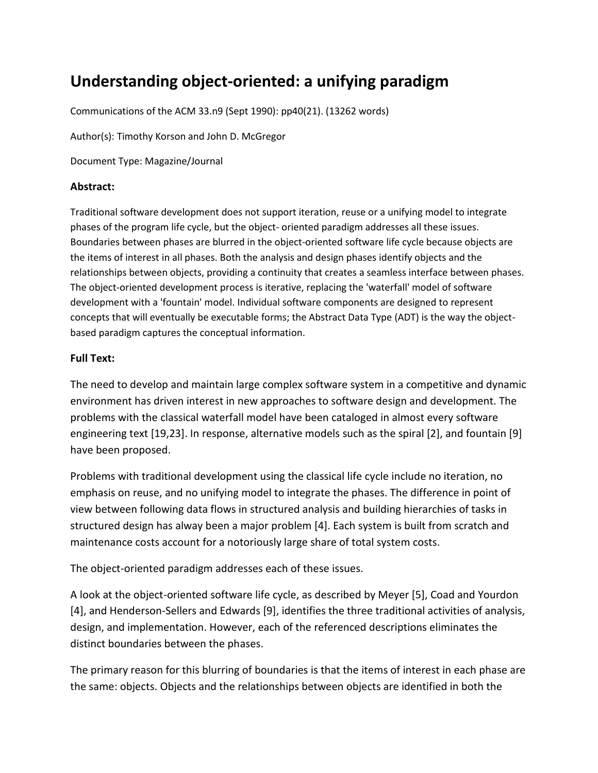# **Understanding object-oriented: a unifying paradigm**

Communications of the ACM 33.n9 (Sept 1990): pp40(21). (13262 words)

Author(s): Timothy Korson and John D. McGregor

Document Type: Magazine/Journal

#### **Abstract:**

Traditional software development does not support iteration, reuse or a unifying model to integrate phases of the program life cycle, but the object- oriented paradigm addresses all these issues. Boundaries between phases are blurred in the object-oriented software life cycle because objects are the items of interest in all phases. Both the analysis and design phases identify objects and the relationships between objects, providing a continuity that creates a seamless interface between phases. The object-oriented development process is iterative, replacing the 'waterfall' model of software development with a 'fountain' model. Individual software components are designed to represent concepts that will eventually be executable forms; the Abstract Data Type (ADT) is the way the objectbased paradigm captures the conceptual information.

#### **Full Text:**

The need to develop and maintain large complex software system in a competitive and dynamic environment has driven interest in new approaches to software design and development. The problems with the classical waterfall model have been cataloged in almost every software engineering text [19,23]. In response, alternative models such as the spiral [2], and fountain [9] have been proposed.

Problems with traditional development using the classical life cycle include no iteration, no emphasis on reuse, and no unifying model to integrate the phases. The difference in point of view between following data flows in structured analysis and building hierarchies of tasks in structured design has alway been a major problem [4]. Each system is built from scratch and maintenance costs account for a notoriously large share of total system costs.

The object-oriented paradigm addresses each of these issues.

A look at the object-oriented software life cycle, as described by Meyer [5], Coad and Yourdon [4], and Henderson-Sellers and Edwards [9], identifies the three traditional activities of analysis, design, and implementation. However, each of the referenced descriptions eliminates the distinct boundaries between the phases.

The primary reason for this blurring of boundaries is that the items of interest in each phase are the same: objects. Objects and the relationships between objects are identified in both the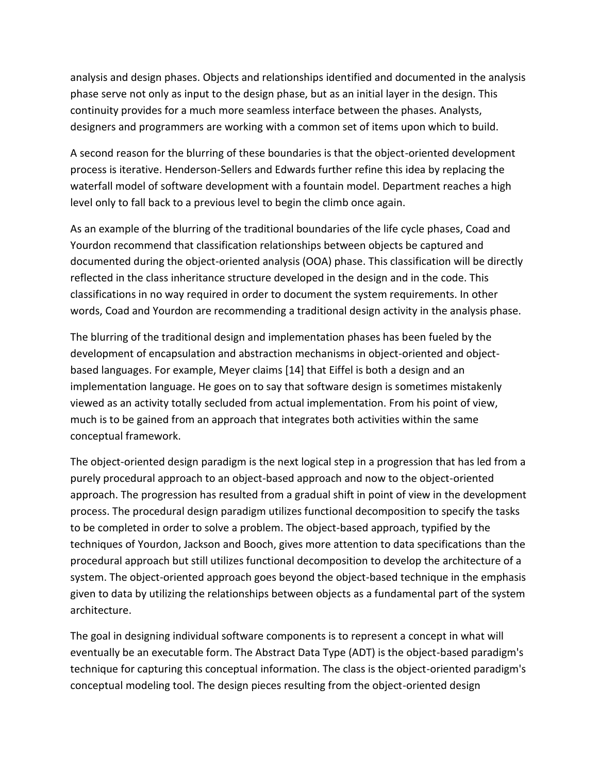analysis and design phases. Objects and relationships identified and documented in the analysis phase serve not only as input to the design phase, but as an initial layer in the design. This continuity provides for a much more seamless interface between the phases. Analysts, designers and programmers are working with a common set of items upon which to build.

A second reason for the blurring of these boundaries is that the object-oriented development process is iterative. Henderson-Sellers and Edwards further refine this idea by replacing the waterfall model of software development with a fountain model. Department reaches a high level only to fall back to a previous level to begin the climb once again.

As an example of the blurring of the traditional boundaries of the life cycle phases, Coad and Yourdon recommend that classification relationships between objects be captured and documented during the object-oriented analysis (OOA) phase. This classification will be directly reflected in the class inheritance structure developed in the design and in the code. This classifications in no way required in order to document the system requirements. In other words, Coad and Yourdon are recommending a traditional design activity in the analysis phase.

The blurring of the traditional design and implementation phases has been fueled by the development of encapsulation and abstraction mechanisms in object-oriented and objectbased languages. For example, Meyer claims [14] that Eiffel is both a design and an implementation language. He goes on to say that software design is sometimes mistakenly viewed as an activity totally secluded from actual implementation. From his point of view, much is to be gained from an approach that integrates both activities within the same conceptual framework.

The object-oriented design paradigm is the next logical step in a progression that has led from a purely procedural approach to an object-based approach and now to the object-oriented approach. The progression has resulted from a gradual shift in point of view in the development process. The procedural design paradigm utilizes functional decomposition to specify the tasks to be completed in order to solve a problem. The object-based approach, typified by the techniques of Yourdon, Jackson and Booch, gives more attention to data specifications than the procedural approach but still utilizes functional decomposition to develop the architecture of a system. The object-oriented approach goes beyond the object-based technique in the emphasis given to data by utilizing the relationships between objects as a fundamental part of the system architecture.

The goal in designing individual software components is to represent a concept in what will eventually be an executable form. The Abstract Data Type (ADT) is the object-based paradigm's technique for capturing this conceptual information. The class is the object-oriented paradigm's conceptual modeling tool. The design pieces resulting from the object-oriented design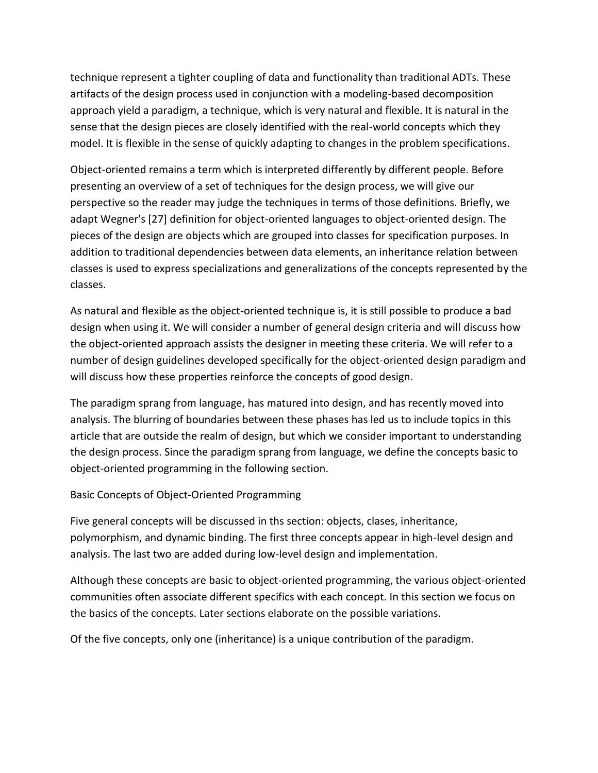technique represent a tighter coupling of data and functionality than traditional ADTs. These artifacts of the design process used in conjunction with a modeling-based decomposition approach yield a paradigm, a technique, which is very natural and flexible. It is natural in the sense that the design pieces are closely identified with the real-world concepts which they model. It is flexible in the sense of quickly adapting to changes in the problem specifications.

Object-oriented remains a term which is interpreted differently by different people. Before presenting an overview of a set of techniques for the design process, we will give our perspective so the reader may judge the techniques in terms of those definitions. Briefly, we adapt Wegner's [27] definition for object-oriented languages to object-oriented design. The pieces of the design are objects which are grouped into classes for specification purposes. In addition to traditional dependencies between data elements, an inheritance relation between classes is used to express specializations and generalizations of the concepts represented by the classes.

As natural and flexible as the object-oriented technique is, it is still possible to produce a bad design when using it. We will consider a number of general design criteria and will discuss how the object-oriented approach assists the designer in meeting these criteria. We will refer to a number of design guidelines developed specifically for the object-oriented design paradigm and will discuss how these properties reinforce the concepts of good design.

The paradigm sprang from language, has matured into design, and has recently moved into analysis. The blurring of boundaries between these phases has led us to include topics in this article that are outside the realm of design, but which we consider important to understanding the design process. Since the paradigm sprang from language, we define the concepts basic to object-oriented programming in the following section.

# Basic Concepts of Object-Oriented Programming

Five general concepts will be discussed in ths section: objects, clases, inheritance, polymorphism, and dynamic binding. The first three concepts appear in high-level design and analysis. The last two are added during low-level design and implementation.

Although these concepts are basic to object-oriented programming, the various object-oriented communities often associate different specifics with each concept. In this section we focus on the basics of the concepts. Later sections elaborate on the possible variations.

Of the five concepts, only one (inheritance) is a unique contribution of the paradigm.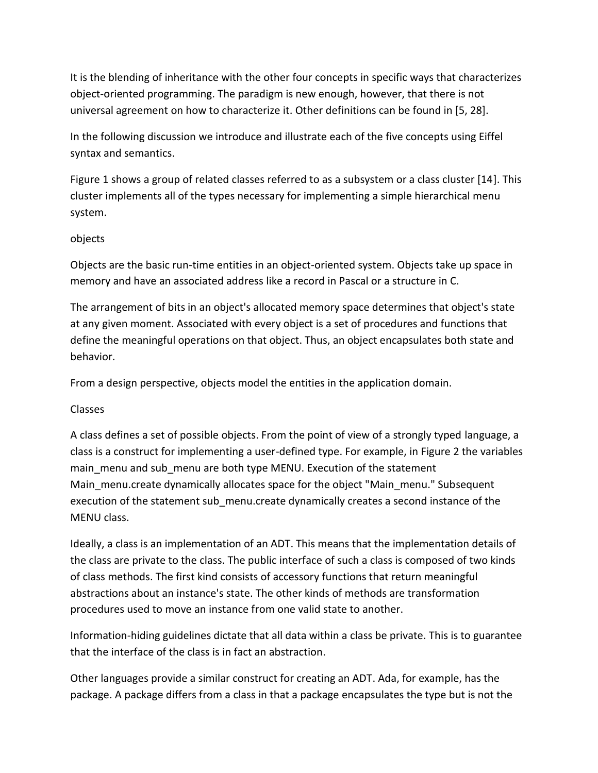It is the blending of inheritance with the other four concepts in specific ways that characterizes object-oriented programming. The paradigm is new enough, however, that there is not universal agreement on how to characterize it. Other definitions can be found in [5, 28].

In the following discussion we introduce and illustrate each of the five concepts using Eiffel syntax and semantics.

Figure 1 shows a group of related classes referred to as a subsystem or a class cluster [14]. This cluster implements all of the types necessary for implementing a simple hierarchical menu system.

# objects

Objects are the basic run-time entities in an object-oriented system. Objects take up space in memory and have an associated address like a record in Pascal or a structure in C.

The arrangement of bits in an object's allocated memory space determines that object's state at any given moment. Associated with every object is a set of procedures and functions that define the meaningful operations on that object. Thus, an object encapsulates both state and behavior.

From a design perspective, objects model the entities in the application domain.

# Classes

A class defines a set of possible objects. From the point of view of a strongly typed language, a class is a construct for implementing a user-defined type. For example, in Figure 2 the variables main menu and sub menu are both type MENU. Execution of the statement Main menu.create dynamically allocates space for the object "Main menu." Subsequent execution of the statement sub\_menu.create dynamically creates a second instance of the MENU class.

Ideally, a class is an implementation of an ADT. This means that the implementation details of the class are private to the class. The public interface of such a class is composed of two kinds of class methods. The first kind consists of accessory functions that return meaningful abstractions about an instance's state. The other kinds of methods are transformation procedures used to move an instance from one valid state to another.

Information-hiding guidelines dictate that all data within a class be private. This is to guarantee that the interface of the class is in fact an abstraction.

Other languages provide a similar construct for creating an ADT. Ada, for example, has the package. A package differs from a class in that a package encapsulates the type but is not the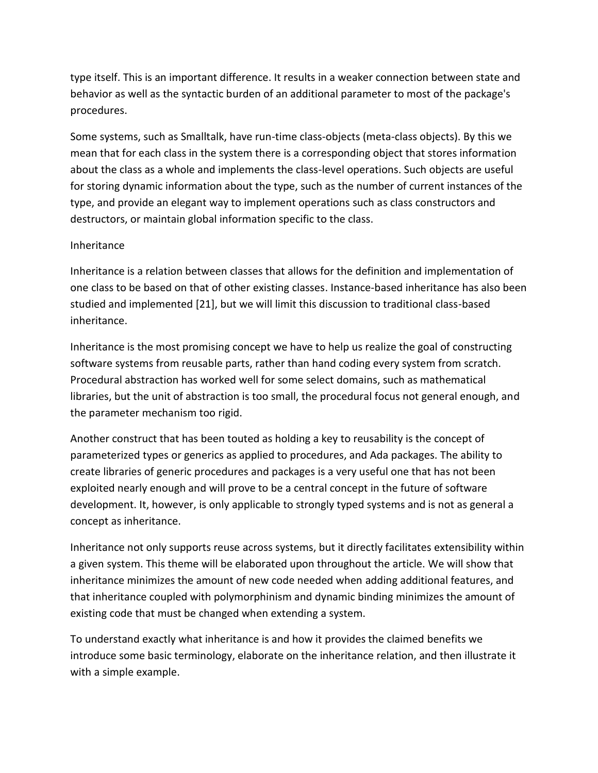type itself. This is an important difference. It results in a weaker connection between state and behavior as well as the syntactic burden of an additional parameter to most of the package's procedures.

Some systems, such as Smalltalk, have run-time class-objects (meta-class objects). By this we mean that for each class in the system there is a corresponding object that stores information about the class as a whole and implements the class-level operations. Such objects are useful for storing dynamic information about the type, such as the number of current instances of the type, and provide an elegant way to implement operations such as class constructors and destructors, or maintain global information specific to the class.

#### Inheritance

Inheritance is a relation between classes that allows for the definition and implementation of one class to be based on that of other existing classes. Instance-based inheritance has also been studied and implemented [21], but we will limit this discussion to traditional class-based inheritance.

Inheritance is the most promising concept we have to help us realize the goal of constructing software systems from reusable parts, rather than hand coding every system from scratch. Procedural abstraction has worked well for some select domains, such as mathematical libraries, but the unit of abstraction is too small, the procedural focus not general enough, and the parameter mechanism too rigid.

Another construct that has been touted as holding a key to reusability is the concept of parameterized types or generics as applied to procedures, and Ada packages. The ability to create libraries of generic procedures and packages is a very useful one that has not been exploited nearly enough and will prove to be a central concept in the future of software development. It, however, is only applicable to strongly typed systems and is not as general a concept as inheritance.

Inheritance not only supports reuse across systems, but it directly facilitates extensibility within a given system. This theme will be elaborated upon throughout the article. We will show that inheritance minimizes the amount of new code needed when adding additional features, and that inheritance coupled with polymorphinism and dynamic binding minimizes the amount of existing code that must be changed when extending a system.

To understand exactly what inheritance is and how it provides the claimed benefits we introduce some basic terminology, elaborate on the inheritance relation, and then illustrate it with a simple example.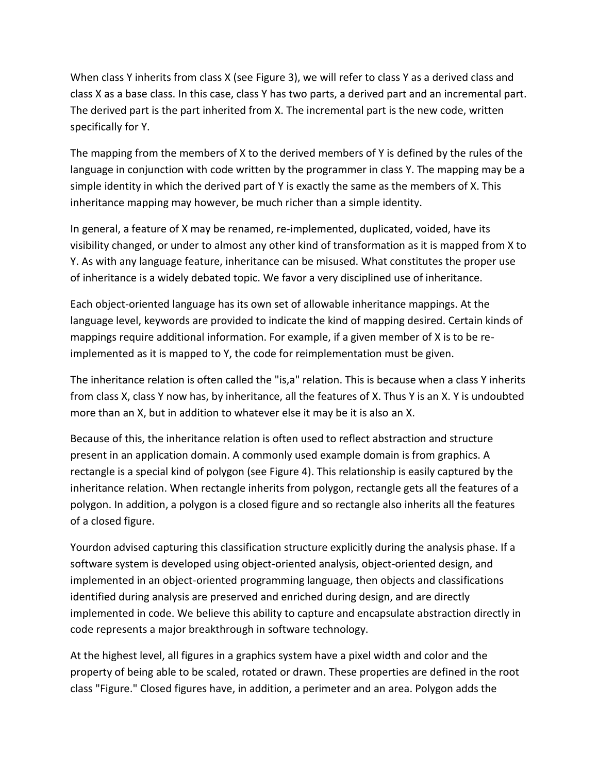When class Y inherits from class X (see Figure 3), we will refer to class Y as a derived class and class X as a base class. In this case, class Y has two parts, a derived part and an incremental part. The derived part is the part inherited from X. The incremental part is the new code, written specifically for Y.

The mapping from the members of X to the derived members of Y is defined by the rules of the language in conjunction with code written by the programmer in class Y. The mapping may be a simple identity in which the derived part of Y is exactly the same as the members of X. This inheritance mapping may however, be much richer than a simple identity.

In general, a feature of X may be renamed, re-implemented, duplicated, voided, have its visibility changed, or under to almost any other kind of transformation as it is mapped from X to Y. As with any language feature, inheritance can be misused. What constitutes the proper use of inheritance is a widely debated topic. We favor a very disciplined use of inheritance.

Each object-oriented language has its own set of allowable inheritance mappings. At the language level, keywords are provided to indicate the kind of mapping desired. Certain kinds of mappings require additional information. For example, if a given member of X is to be reimplemented as it is mapped to Y, the code for reimplementation must be given.

The inheritance relation is often called the "is,a" relation. This is because when a class Y inherits from class X, class Y now has, by inheritance, all the features of X. Thus Y is an X. Y is undoubted more than an X, but in addition to whatever else it may be it is also an X.

Because of this, the inheritance relation is often used to reflect abstraction and structure present in an application domain. A commonly used example domain is from graphics. A rectangle is a special kind of polygon (see Figure 4). This relationship is easily captured by the inheritance relation. When rectangle inherits from polygon, rectangle gets all the features of a polygon. In addition, a polygon is a closed figure and so rectangle also inherits all the features of a closed figure.

Yourdon advised capturing this classification structure explicitly during the analysis phase. If a software system is developed using object-oriented analysis, object-oriented design, and implemented in an object-oriented programming language, then objects and classifications identified during analysis are preserved and enriched during design, and are directly implemented in code. We believe this ability to capture and encapsulate abstraction directly in code represents a major breakthrough in software technology.

At the highest level, all figures in a graphics system have a pixel width and color and the property of being able to be scaled, rotated or drawn. These properties are defined in the root class "Figure." Closed figures have, in addition, a perimeter and an area. Polygon adds the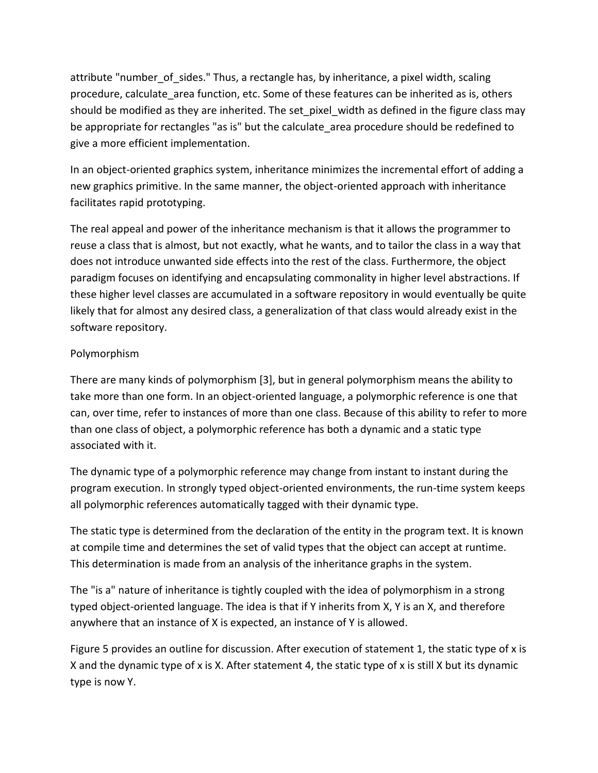attribute "number of sides." Thus, a rectangle has, by inheritance, a pixel width, scaling procedure, calculate\_area function, etc. Some of these features can be inherited as is, others should be modified as they are inherited. The set pixel width as defined in the figure class may be appropriate for rectangles "as is" but the calculate\_area procedure should be redefined to give a more efficient implementation.

In an object-oriented graphics system, inheritance minimizes the incremental effort of adding a new graphics primitive. In the same manner, the object-oriented approach with inheritance facilitates rapid prototyping.

The real appeal and power of the inheritance mechanism is that it allows the programmer to reuse a class that is almost, but not exactly, what he wants, and to tailor the class in a way that does not introduce unwanted side effects into the rest of the class. Furthermore, the object paradigm focuses on identifying and encapsulating commonality in higher level abstractions. If these higher level classes are accumulated in a software repository in would eventually be quite likely that for almost any desired class, a generalization of that class would already exist in the software repository.

# Polymorphism

There are many kinds of polymorphism [3], but in general polymorphism means the ability to take more than one form. In an object-oriented language, a polymorphic reference is one that can, over time, refer to instances of more than one class. Because of this ability to refer to more than one class of object, a polymorphic reference has both a dynamic and a static type associated with it.

The dynamic type of a polymorphic reference may change from instant to instant during the program execution. In strongly typed object-oriented environments, the run-time system keeps all polymorphic references automatically tagged with their dynamic type.

The static type is determined from the declaration of the entity in the program text. It is known at compile time and determines the set of valid types that the object can accept at runtime. This determination is made from an analysis of the inheritance graphs in the system.

The "is a" nature of inheritance is tightly coupled with the idea of polymorphism in a strong typed object-oriented language. The idea is that if Y inherits from X, Y is an X, and therefore anywhere that an instance of X is expected, an instance of Y is allowed.

Figure 5 provides an outline for discussion. After execution of statement 1, the static type of x is X and the dynamic type of x is X. After statement 4, the static type of x is still X but its dynamic type is now Y.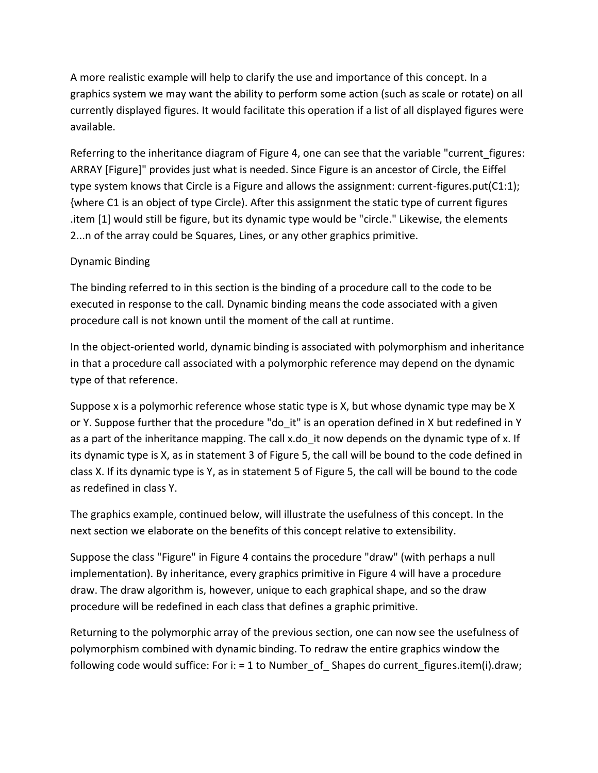A more realistic example will help to clarify the use and importance of this concept. In a graphics system we may want the ability to perform some action (such as scale or rotate) on all currently displayed figures. It would facilitate this operation if a list of all displayed figures were available.

Referring to the inheritance diagram of Figure 4, one can see that the variable "current\_figures: ARRAY [Figure]" provides just what is needed. Since Figure is an ancestor of Circle, the Eiffel type system knows that Circle is a Figure and allows the assignment: current-figures.put(C1:1); {where C1 is an object of type Circle). After this assignment the static type of current figures .item [1] would still be figure, but its dynamic type would be "circle." Likewise, the elements 2...n of the array could be Squares, Lines, or any other graphics primitive.

# Dynamic Binding

The binding referred to in this section is the binding of a procedure call to the code to be executed in response to the call. Dynamic binding means the code associated with a given procedure call is not known until the moment of the call at runtime.

In the object-oriented world, dynamic binding is associated with polymorphism and inheritance in that a procedure call associated with a polymorphic reference may depend on the dynamic type of that reference.

Suppose x is a polymorhic reference whose static type is X, but whose dynamic type may be X or Y. Suppose further that the procedure "do\_it" is an operation defined in X but redefined in Y as a part of the inheritance mapping. The call x.do\_it now depends on the dynamic type of x. If its dynamic type is X, as in statement 3 of Figure 5, the call will be bound to the code defined in class X. If its dynamic type is Y, as in statement 5 of Figure 5, the call will be bound to the code as redefined in class Y.

The graphics example, continued below, will illustrate the usefulness of this concept. In the next section we elaborate on the benefits of this concept relative to extensibility.

Suppose the class "Figure" in Figure 4 contains the procedure "draw" (with perhaps a null implementation). By inheritance, every graphics primitive in Figure 4 will have a procedure draw. The draw algorithm is, however, unique to each graphical shape, and so the draw procedure will be redefined in each class that defines a graphic primitive.

Returning to the polymorphic array of the previous section, one can now see the usefulness of polymorphism combined with dynamic binding. To redraw the entire graphics window the following code would suffice: For i: = 1 to Number of Shapes do current figures.item(i).draw;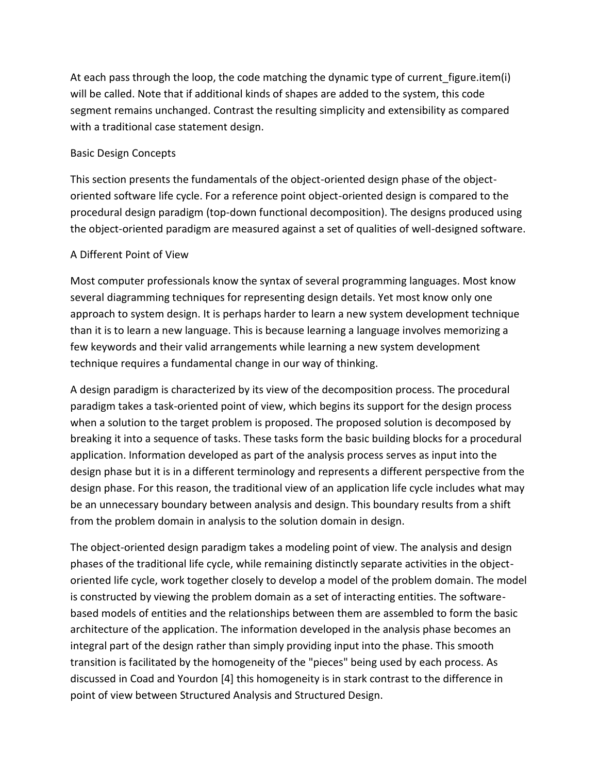At each pass through the loop, the code matching the dynamic type of current figure.item(i) will be called. Note that if additional kinds of shapes are added to the system, this code segment remains unchanged. Contrast the resulting simplicity and extensibility as compared with a traditional case statement design.

#### Basic Design Concepts

This section presents the fundamentals of the object-oriented design phase of the objectoriented software life cycle. For a reference point object-oriented design is compared to the procedural design paradigm (top-down functional decomposition). The designs produced using the object-oriented paradigm are measured against a set of qualities of well-designed software.

# A Different Point of View

Most computer professionals know the syntax of several programming languages. Most know several diagramming techniques for representing design details. Yet most know only one approach to system design. It is perhaps harder to learn a new system development technique than it is to learn a new language. This is because learning a language involves memorizing a few keywords and their valid arrangements while learning a new system development technique requires a fundamental change in our way of thinking.

A design paradigm is characterized by its view of the decomposition process. The procedural paradigm takes a task-oriented point of view, which begins its support for the design process when a solution to the target problem is proposed. The proposed solution is decomposed by breaking it into a sequence of tasks. These tasks form the basic building blocks for a procedural application. Information developed as part of the analysis process serves as input into the design phase but it is in a different terminology and represents a different perspective from the design phase. For this reason, the traditional view of an application life cycle includes what may be an unnecessary boundary between analysis and design. This boundary results from a shift from the problem domain in analysis to the solution domain in design.

The object-oriented design paradigm takes a modeling point of view. The analysis and design phases of the traditional life cycle, while remaining distinctly separate activities in the objectoriented life cycle, work together closely to develop a model of the problem domain. The model is constructed by viewing the problem domain as a set of interacting entities. The softwarebased models of entities and the relationships between them are assembled to form the basic architecture of the application. The information developed in the analysis phase becomes an integral part of the design rather than simply providing input into the phase. This smooth transition is facilitated by the homogeneity of the "pieces" being used by each process. As discussed in Coad and Yourdon [4] this homogeneity is in stark contrast to the difference in point of view between Structured Analysis and Structured Design.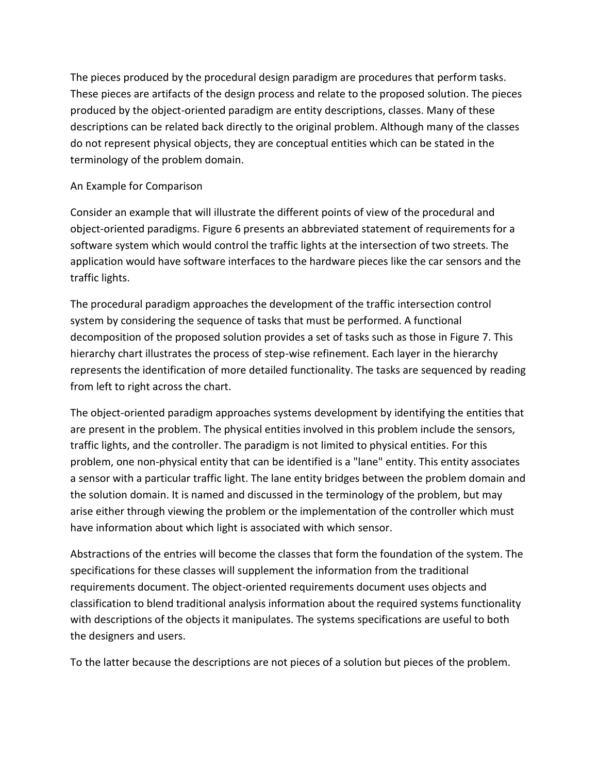The pieces produced by the procedural design paradigm are procedures that perform tasks. These pieces are artifacts of the design process and relate to the proposed solution. The pieces produced by the object-oriented paradigm are entity descriptions, classes. Many of these descriptions can be related back directly to the original problem. Although many of the classes do not represent physical objects, they are conceptual entities which can be stated in the terminology of the problem domain.

#### An Example for Comparison

Consider an example that will illustrate the different points of view of the procedural and object-oriented paradigms. Figure 6 presents an abbreviated statement of requirements for a software system which would control the traffic lights at the intersection of two streets. The application would have software interfaces to the hardware pieces like the car sensors and the traffic lights.

The procedural paradigm approaches the development of the traffic intersection control system by considering the sequence of tasks that must be performed. A functional decomposition of the proposed solution provides a set of tasks such as those in Figure 7. This hierarchy chart illustrates the process of step-wise refinement. Each layer in the hierarchy represents the identification of more detailed functionality. The tasks are sequenced by reading from left to right across the chart.

The object-oriented paradigm approaches systems development by identifying the entities that are present in the problem. The physical entities involved in this problem include the sensors, traffic lights, and the controller. The paradigm is not limited to physical entities. For this problem, one non-physical entity that can be identified is a "lane" entity. This entity associates a sensor with a particular traffic light. The lane entity bridges between the problem domain and the solution domain. It is named and discussed in the terminology of the problem, but may arise either through viewing the problem or the implementation of the controller which must have information about which light is associated with which sensor.

Abstractions of the entries will become the classes that form the foundation of the system. The specifications for these classes will supplement the information from the traditional requirements document. The object-oriented requirements document uses objects and classification to blend traditional analysis information about the required systems functionality with descriptions of the objects it manipulates. The systems specifications are useful to both the designers and users.

To the latter because the descriptions are not pieces of a solution but pieces of the problem.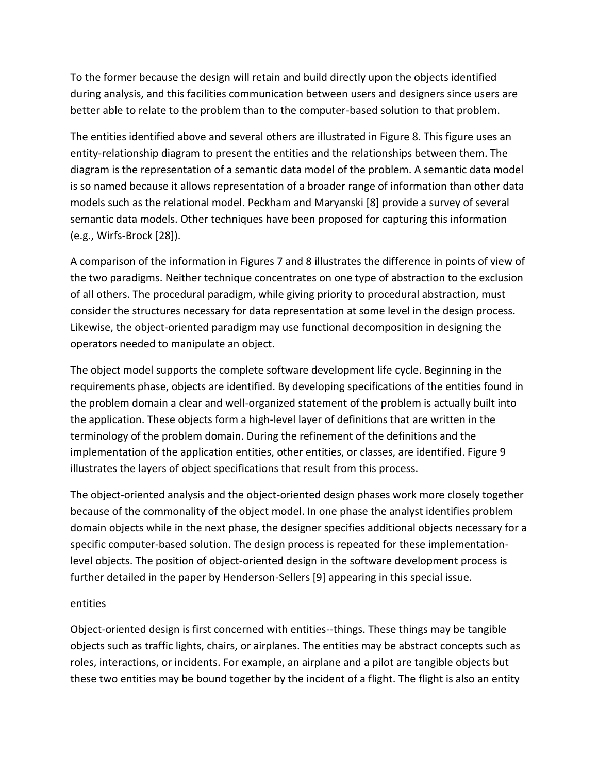To the former because the design will retain and build directly upon the objects identified during analysis, and this facilities communication between users and designers since users are better able to relate to the problem than to the computer-based solution to that problem.

The entities identified above and several others are illustrated in Figure 8. This figure uses an entity-relationship diagram to present the entities and the relationships between them. The diagram is the representation of a semantic data model of the problem. A semantic data model is so named because it allows representation of a broader range of information than other data models such as the relational model. Peckham and Maryanski [8] provide a survey of several semantic data models. Other techniques have been proposed for capturing this information (e.g., Wirfs-Brock [28]).

A comparison of the information in Figures 7 and 8 illustrates the difference in points of view of the two paradigms. Neither technique concentrates on one type of abstraction to the exclusion of all others. The procedural paradigm, while giving priority to procedural abstraction, must consider the structures necessary for data representation at some level in the design process. Likewise, the object-oriented paradigm may use functional decomposition in designing the operators needed to manipulate an object.

The object model supports the complete software development life cycle. Beginning in the requirements phase, objects are identified. By developing specifications of the entities found in the problem domain a clear and well-organized statement of the problem is actually built into the application. These objects form a high-level layer of definitions that are written in the terminology of the problem domain. During the refinement of the definitions and the implementation of the application entities, other entities, or classes, are identified. Figure 9 illustrates the layers of object specifications that result from this process.

The object-oriented analysis and the object-oriented design phases work more closely together because of the commonality of the object model. In one phase the analyst identifies problem domain objects while in the next phase, the designer specifies additional objects necessary for a specific computer-based solution. The design process is repeated for these implementationlevel objects. The position of object-oriented design in the software development process is further detailed in the paper by Henderson-Sellers [9] appearing in this special issue.

#### entities

Object-oriented design is first concerned with entities--things. These things may be tangible objects such as traffic lights, chairs, or airplanes. The entities may be abstract concepts such as roles, interactions, or incidents. For example, an airplane and a pilot are tangible objects but these two entities may be bound together by the incident of a flight. The flight is also an entity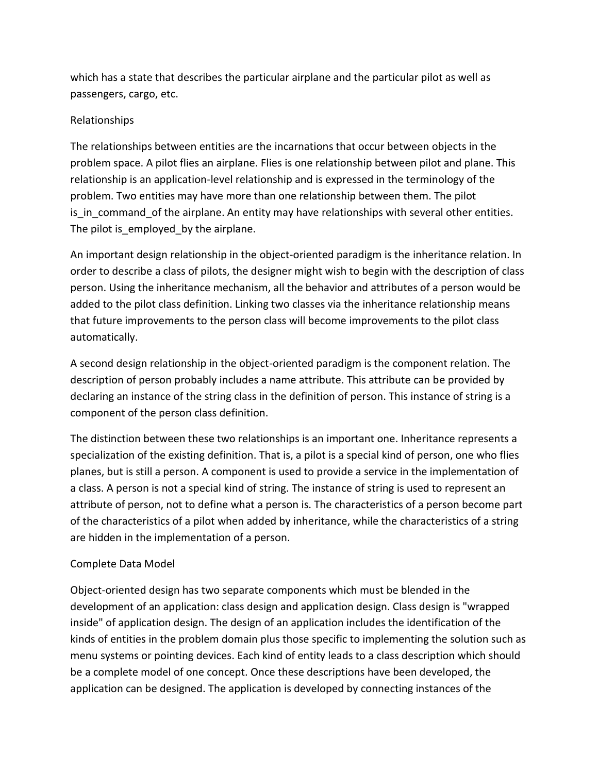which has a state that describes the particular airplane and the particular pilot as well as passengers, cargo, etc.

#### Relationships

The relationships between entities are the incarnations that occur between objects in the problem space. A pilot flies an airplane. Flies is one relationship between pilot and plane. This relationship is an application-level relationship and is expressed in the terminology of the problem. Two entities may have more than one relationship between them. The pilot is in command of the airplane. An entity may have relationships with several other entities. The pilot is\_employed\_by the airplane.

An important design relationship in the object-oriented paradigm is the inheritance relation. In order to describe a class of pilots, the designer might wish to begin with the description of class person. Using the inheritance mechanism, all the behavior and attributes of a person would be added to the pilot class definition. Linking two classes via the inheritance relationship means that future improvements to the person class will become improvements to the pilot class automatically.

A second design relationship in the object-oriented paradigm is the component relation. The description of person probably includes a name attribute. This attribute can be provided by declaring an instance of the string class in the definition of person. This instance of string is a component of the person class definition.

The distinction between these two relationships is an important one. Inheritance represents a specialization of the existing definition. That is, a pilot is a special kind of person, one who flies planes, but is still a person. A component is used to provide a service in the implementation of a class. A person is not a special kind of string. The instance of string is used to represent an attribute of person, not to define what a person is. The characteristics of a person become part of the characteristics of a pilot when added by inheritance, while the characteristics of a string are hidden in the implementation of a person.

# Complete Data Model

Object-oriented design has two separate components which must be blended in the development of an application: class design and application design. Class design is "wrapped inside" of application design. The design of an application includes the identification of the kinds of entities in the problem domain plus those specific to implementing the solution such as menu systems or pointing devices. Each kind of entity leads to a class description which should be a complete model of one concept. Once these descriptions have been developed, the application can be designed. The application is developed by connecting instances of the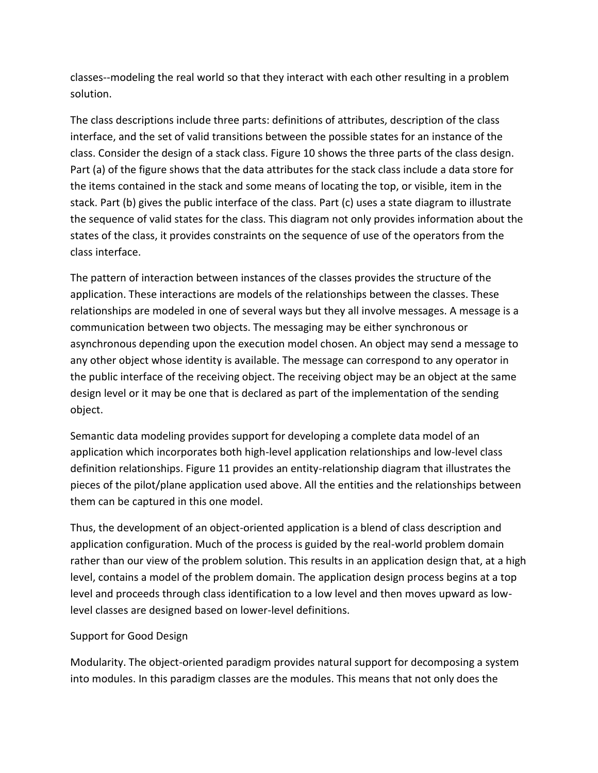classes--modeling the real world so that they interact with each other resulting in a problem solution.

The class descriptions include three parts: definitions of attributes, description of the class interface, and the set of valid transitions between the possible states for an instance of the class. Consider the design of a stack class. Figure 10 shows the three parts of the class design. Part (a) of the figure shows that the data attributes for the stack class include a data store for the items contained in the stack and some means of locating the top, or visible, item in the stack. Part (b) gives the public interface of the class. Part (c) uses a state diagram to illustrate the sequence of valid states for the class. This diagram not only provides information about the states of the class, it provides constraints on the sequence of use of the operators from the class interface.

The pattern of interaction between instances of the classes provides the structure of the application. These interactions are models of the relationships between the classes. These relationships are modeled in one of several ways but they all involve messages. A message is a communication between two objects. The messaging may be either synchronous or asynchronous depending upon the execution model chosen. An object may send a message to any other object whose identity is available. The message can correspond to any operator in the public interface of the receiving object. The receiving object may be an object at the same design level or it may be one that is declared as part of the implementation of the sending object.

Semantic data modeling provides support for developing a complete data model of an application which incorporates both high-level application relationships and low-level class definition relationships. Figure 11 provides an entity-relationship diagram that illustrates the pieces of the pilot/plane application used above. All the entities and the relationships between them can be captured in this one model.

Thus, the development of an object-oriented application is a blend of class description and application configuration. Much of the process is guided by the real-world problem domain rather than our view of the problem solution. This results in an application design that, at a high level, contains a model of the problem domain. The application design process begins at a top level and proceeds through class identification to a low level and then moves upward as lowlevel classes are designed based on lower-level definitions.

# Support for Good Design

Modularity. The object-oriented paradigm provides natural support for decomposing a system into modules. In this paradigm classes are the modules. This means that not only does the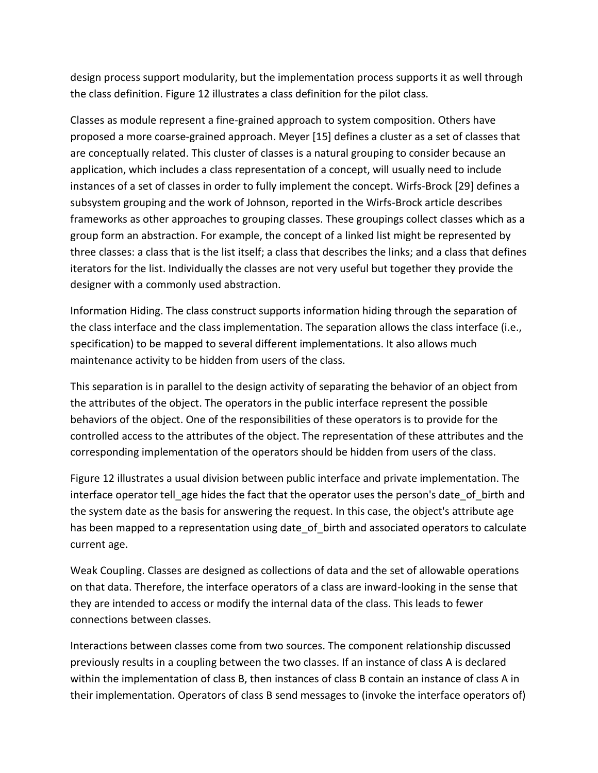design process support modularity, but the implementation process supports it as well through the class definition. Figure 12 illustrates a class definition for the pilot class.

Classes as module represent a fine-grained approach to system composition. Others have proposed a more coarse-grained approach. Meyer [15] defines a cluster as a set of classes that are conceptually related. This cluster of classes is a natural grouping to consider because an application, which includes a class representation of a concept, will usually need to include instances of a set of classes in order to fully implement the concept. Wirfs-Brock [29] defines a subsystem grouping and the work of Johnson, reported in the Wirfs-Brock article describes frameworks as other approaches to grouping classes. These groupings collect classes which as a group form an abstraction. For example, the concept of a linked list might be represented by three classes: a class that is the list itself; a class that describes the links; and a class that defines iterators for the list. Individually the classes are not very useful but together they provide the designer with a commonly used abstraction.

Information Hiding. The class construct supports information hiding through the separation of the class interface and the class implementation. The separation allows the class interface (i.e., specification) to be mapped to several different implementations. It also allows much maintenance activity to be hidden from users of the class.

This separation is in parallel to the design activity of separating the behavior of an object from the attributes of the object. The operators in the public interface represent the possible behaviors of the object. One of the responsibilities of these operators is to provide for the controlled access to the attributes of the object. The representation of these attributes and the corresponding implementation of the operators should be hidden from users of the class.

Figure 12 illustrates a usual division between public interface and private implementation. The interface operator tell age hides the fact that the operator uses the person's date of birth and the system date as the basis for answering the request. In this case, the object's attribute age has been mapped to a representation using date of birth and associated operators to calculate current age.

Weak Coupling. Classes are designed as collections of data and the set of allowable operations on that data. Therefore, the interface operators of a class are inward-looking in the sense that they are intended to access or modify the internal data of the class. This leads to fewer connections between classes.

Interactions between classes come from two sources. The component relationship discussed previously results in a coupling between the two classes. If an instance of class A is declared within the implementation of class B, then instances of class B contain an instance of class A in their implementation. Operators of class B send messages to (invoke the interface operators of)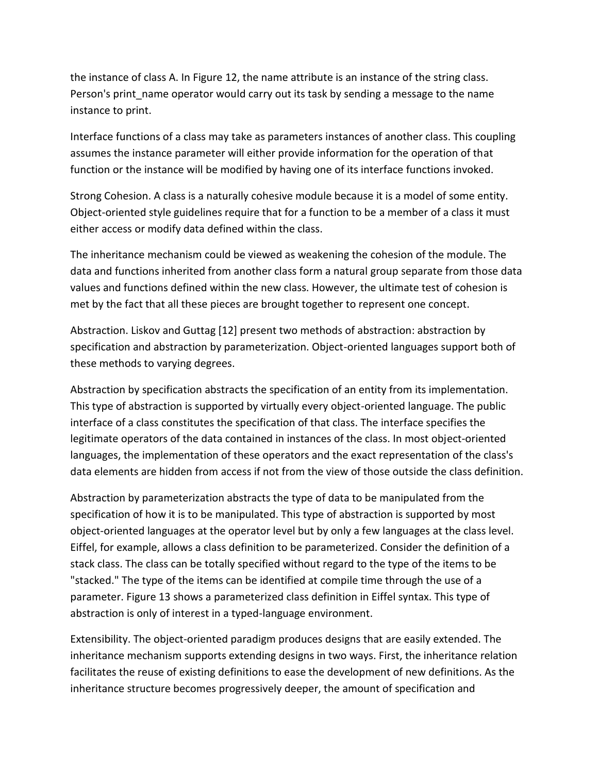the instance of class A. In Figure 12, the name attribute is an instance of the string class. Person's print\_name operator would carry out its task by sending a message to the name instance to print.

Interface functions of a class may take as parameters instances of another class. This coupling assumes the instance parameter will either provide information for the operation of that function or the instance will be modified by having one of its interface functions invoked.

Strong Cohesion. A class is a naturally cohesive module because it is a model of some entity. Object-oriented style guidelines require that for a function to be a member of a class it must either access or modify data defined within the class.

The inheritance mechanism could be viewed as weakening the cohesion of the module. The data and functions inherited from another class form a natural group separate from those data values and functions defined within the new class. However, the ultimate test of cohesion is met by the fact that all these pieces are brought together to represent one concept.

Abstraction. Liskov and Guttag [12] present two methods of abstraction: abstraction by specification and abstraction by parameterization. Object-oriented languages support both of these methods to varying degrees.

Abstraction by specification abstracts the specification of an entity from its implementation. This type of abstraction is supported by virtually every object-oriented language. The public interface of a class constitutes the specification of that class. The interface specifies the legitimate operators of the data contained in instances of the class. In most object-oriented languages, the implementation of these operators and the exact representation of the class's data elements are hidden from access if not from the view of those outside the class definition.

Abstraction by parameterization abstracts the type of data to be manipulated from the specification of how it is to be manipulated. This type of abstraction is supported by most object-oriented languages at the operator level but by only a few languages at the class level. Eiffel, for example, allows a class definition to be parameterized. Consider the definition of a stack class. The class can be totally specified without regard to the type of the items to be "stacked." The type of the items can be identified at compile time through the use of a parameter. Figure 13 shows a parameterized class definition in Eiffel syntax. This type of abstraction is only of interest in a typed-language environment.

Extensibility. The object-oriented paradigm produces designs that are easily extended. The inheritance mechanism supports extending designs in two ways. First, the inheritance relation facilitates the reuse of existing definitions to ease the development of new definitions. As the inheritance structure becomes progressively deeper, the amount of specification and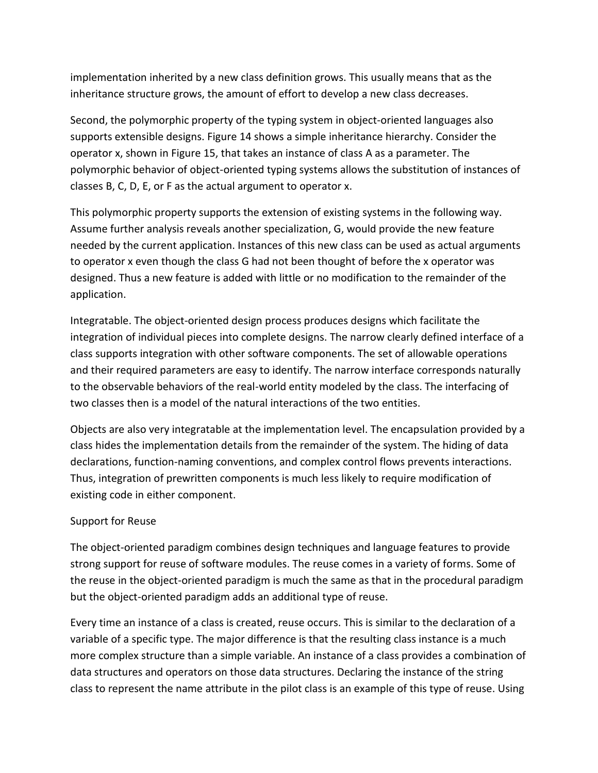implementation inherited by a new class definition grows. This usually means that as the inheritance structure grows, the amount of effort to develop a new class decreases.

Second, the polymorphic property of the typing system in object-oriented languages also supports extensible designs. Figure 14 shows a simple inheritance hierarchy. Consider the operator x, shown in Figure 15, that takes an instance of class A as a parameter. The polymorphic behavior of object-oriented typing systems allows the substitution of instances of classes B, C, D, E, or F as the actual argument to operator x.

This polymorphic property supports the extension of existing systems in the following way. Assume further analysis reveals another specialization, G, would provide the new feature needed by the current application. Instances of this new class can be used as actual arguments to operator x even though the class G had not been thought of before the x operator was designed. Thus a new feature is added with little or no modification to the remainder of the application.

Integratable. The object-oriented design process produces designs which facilitate the integration of individual pieces into complete designs. The narrow clearly defined interface of a class supports integration with other software components. The set of allowable operations and their required parameters are easy to identify. The narrow interface corresponds naturally to the observable behaviors of the real-world entity modeled by the class. The interfacing of two classes then is a model of the natural interactions of the two entities.

Objects are also very integratable at the implementation level. The encapsulation provided by a class hides the implementation details from the remainder of the system. The hiding of data declarations, function-naming conventions, and complex control flows prevents interactions. Thus, integration of prewritten components is much less likely to require modification of existing code in either component.

# Support for Reuse

The object-oriented paradigm combines design techniques and language features to provide strong support for reuse of software modules. The reuse comes in a variety of forms. Some of the reuse in the object-oriented paradigm is much the same as that in the procedural paradigm but the object-oriented paradigm adds an additional type of reuse.

Every time an instance of a class is created, reuse occurs. This is similar to the declaration of a variable of a specific type. The major difference is that the resulting class instance is a much more complex structure than a simple variable. An instance of a class provides a combination of data structures and operators on those data structures. Declaring the instance of the string class to represent the name attribute in the pilot class is an example of this type of reuse. Using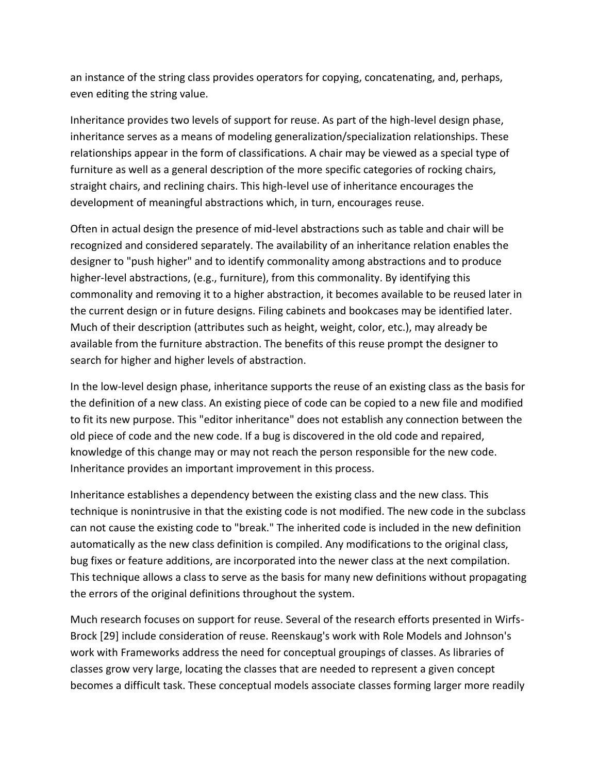an instance of the string class provides operators for copying, concatenating, and, perhaps, even editing the string value.

Inheritance provides two levels of support for reuse. As part of the high-level design phase, inheritance serves as a means of modeling generalization/specialization relationships. These relationships appear in the form of classifications. A chair may be viewed as a special type of furniture as well as a general description of the more specific categories of rocking chairs, straight chairs, and reclining chairs. This high-level use of inheritance encourages the development of meaningful abstractions which, in turn, encourages reuse.

Often in actual design the presence of mid-level abstractions such as table and chair will be recognized and considered separately. The availability of an inheritance relation enables the designer to "push higher" and to identify commonality among abstractions and to produce higher-level abstractions, (e.g., furniture), from this commonality. By identifying this commonality and removing it to a higher abstraction, it becomes available to be reused later in the current design or in future designs. Filing cabinets and bookcases may be identified later. Much of their description (attributes such as height, weight, color, etc.), may already be available from the furniture abstraction. The benefits of this reuse prompt the designer to search for higher and higher levels of abstraction.

In the low-level design phase, inheritance supports the reuse of an existing class as the basis for the definition of a new class. An existing piece of code can be copied to a new file and modified to fit its new purpose. This "editor inheritance" does not establish any connection between the old piece of code and the new code. If a bug is discovered in the old code and repaired, knowledge of this change may or may not reach the person responsible for the new code. Inheritance provides an important improvement in this process.

Inheritance establishes a dependency between the existing class and the new class. This technique is nonintrusive in that the existing code is not modified. The new code in the subclass can not cause the existing code to "break." The inherited code is included in the new definition automatically as the new class definition is compiled. Any modifications to the original class, bug fixes or feature additions, are incorporated into the newer class at the next compilation. This technique allows a class to serve as the basis for many new definitions without propagating the errors of the original definitions throughout the system.

Much research focuses on support for reuse. Several of the research efforts presented in Wirfs-Brock [29] include consideration of reuse. Reenskaug's work with Role Models and Johnson's work with Frameworks address the need for conceptual groupings of classes. As libraries of classes grow very large, locating the classes that are needed to represent a given concept becomes a difficult task. These conceptual models associate classes forming larger more readily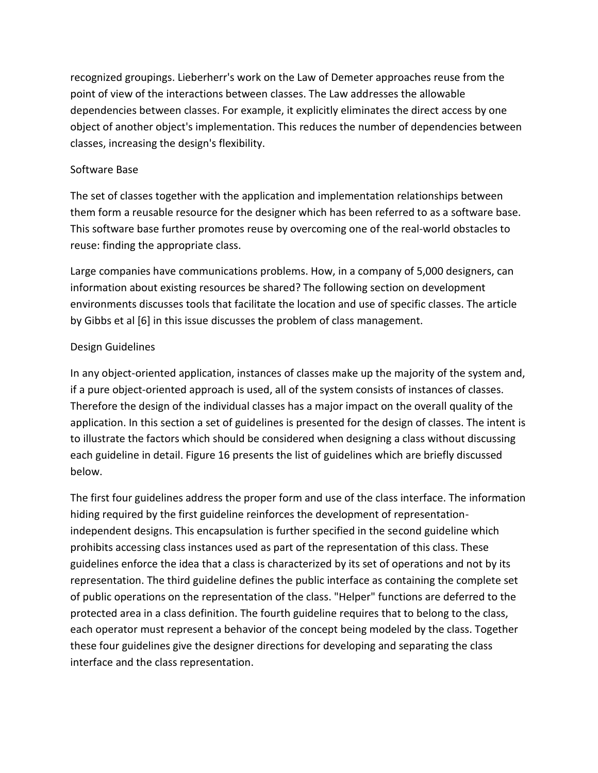recognized groupings. Lieberherr's work on the Law of Demeter approaches reuse from the point of view of the interactions between classes. The Law addresses the allowable dependencies between classes. For example, it explicitly eliminates the direct access by one object of another object's implementation. This reduces the number of dependencies between classes, increasing the design's flexibility.

#### Software Base

The set of classes together with the application and implementation relationships between them form a reusable resource for the designer which has been referred to as a software base. This software base further promotes reuse by overcoming one of the real-world obstacles to reuse: finding the appropriate class.

Large companies have communications problems. How, in a company of 5,000 designers, can information about existing resources be shared? The following section on development environments discusses tools that facilitate the location and use of specific classes. The article by Gibbs et al [6] in this issue discusses the problem of class management.

#### Design Guidelines

In any object-oriented application, instances of classes make up the majority of the system and, if a pure object-oriented approach is used, all of the system consists of instances of classes. Therefore the design of the individual classes has a major impact on the overall quality of the application. In this section a set of guidelines is presented for the design of classes. The intent is to illustrate the factors which should be considered when designing a class without discussing each guideline in detail. Figure 16 presents the list of guidelines which are briefly discussed below.

The first four guidelines address the proper form and use of the class interface. The information hiding required by the first guideline reinforces the development of representationindependent designs. This encapsulation is further specified in the second guideline which prohibits accessing class instances used as part of the representation of this class. These guidelines enforce the idea that a class is characterized by its set of operations and not by its representation. The third guideline defines the public interface as containing the complete set of public operations on the representation of the class. "Helper" functions are deferred to the protected area in a class definition. The fourth guideline requires that to belong to the class, each operator must represent a behavior of the concept being modeled by the class. Together these four guidelines give the designer directions for developing and separating the class interface and the class representation.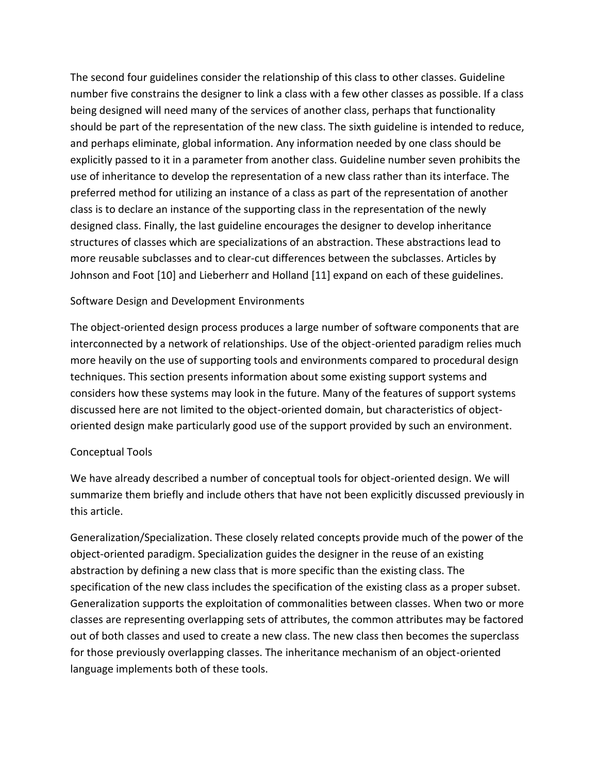The second four guidelines consider the relationship of this class to other classes. Guideline number five constrains the designer to link a class with a few other classes as possible. If a class being designed will need many of the services of another class, perhaps that functionality should be part of the representation of the new class. The sixth guideline is intended to reduce, and perhaps eliminate, global information. Any information needed by one class should be explicitly passed to it in a parameter from another class. Guideline number seven prohibits the use of inheritance to develop the representation of a new class rather than its interface. The preferred method for utilizing an instance of a class as part of the representation of another class is to declare an instance of the supporting class in the representation of the newly designed class. Finally, the last guideline encourages the designer to develop inheritance structures of classes which are specializations of an abstraction. These abstractions lead to more reusable subclasses and to clear-cut differences between the subclasses. Articles by Johnson and Foot [10] and Lieberherr and Holland [11] expand on each of these guidelines.

#### Software Design and Development Environments

The object-oriented design process produces a large number of software components that are interconnected by a network of relationships. Use of the object-oriented paradigm relies much more heavily on the use of supporting tools and environments compared to procedural design techniques. This section presents information about some existing support systems and considers how these systems may look in the future. Many of the features of support systems discussed here are not limited to the object-oriented domain, but characteristics of objectoriented design make particularly good use of the support provided by such an environment.

#### Conceptual Tools

We have already described a number of conceptual tools for object-oriented design. We will summarize them briefly and include others that have not been explicitly discussed previously in this article.

Generalization/Specialization. These closely related concepts provide much of the power of the object-oriented paradigm. Specialization guides the designer in the reuse of an existing abstraction by defining a new class that is more specific than the existing class. The specification of the new class includes the specification of the existing class as a proper subset. Generalization supports the exploitation of commonalities between classes. When two or more classes are representing overlapping sets of attributes, the common attributes may be factored out of both classes and used to create a new class. The new class then becomes the superclass for those previously overlapping classes. The inheritance mechanism of an object-oriented language implements both of these tools.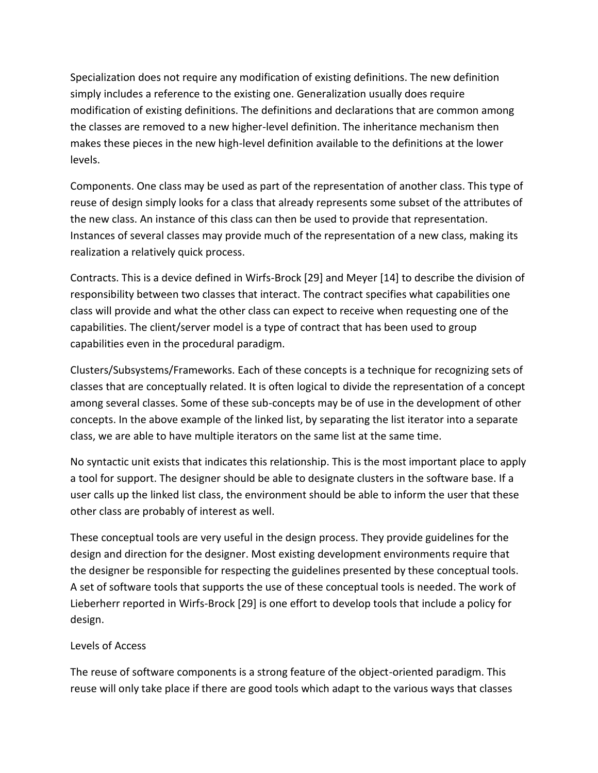Specialization does not require any modification of existing definitions. The new definition simply includes a reference to the existing one. Generalization usually does require modification of existing definitions. The definitions and declarations that are common among the classes are removed to a new higher-level definition. The inheritance mechanism then makes these pieces in the new high-level definition available to the definitions at the lower levels.

Components. One class may be used as part of the representation of another class. This type of reuse of design simply looks for a class that already represents some subset of the attributes of the new class. An instance of this class can then be used to provide that representation. Instances of several classes may provide much of the representation of a new class, making its realization a relatively quick process.

Contracts. This is a device defined in Wirfs-Brock [29] and Meyer [14] to describe the division of responsibility between two classes that interact. The contract specifies what capabilities one class will provide and what the other class can expect to receive when requesting one of the capabilities. The client/server model is a type of contract that has been used to group capabilities even in the procedural paradigm.

Clusters/Subsystems/Frameworks. Each of these concepts is a technique for recognizing sets of classes that are conceptually related. It is often logical to divide the representation of a concept among several classes. Some of these sub-concepts may be of use in the development of other concepts. In the above example of the linked list, by separating the list iterator into a separate class, we are able to have multiple iterators on the same list at the same time.

No syntactic unit exists that indicates this relationship. This is the most important place to apply a tool for support. The designer should be able to designate clusters in the software base. If a user calls up the linked list class, the environment should be able to inform the user that these other class are probably of interest as well.

These conceptual tools are very useful in the design process. They provide guidelines for the design and direction for the designer. Most existing development environments require that the designer be responsible for respecting the guidelines presented by these conceptual tools. A set of software tools that supports the use of these conceptual tools is needed. The work of Lieberherr reported in Wirfs-Brock [29] is one effort to develop tools that include a policy for design.

# Levels of Access

The reuse of software components is a strong feature of the object-oriented paradigm. This reuse will only take place if there are good tools which adapt to the various ways that classes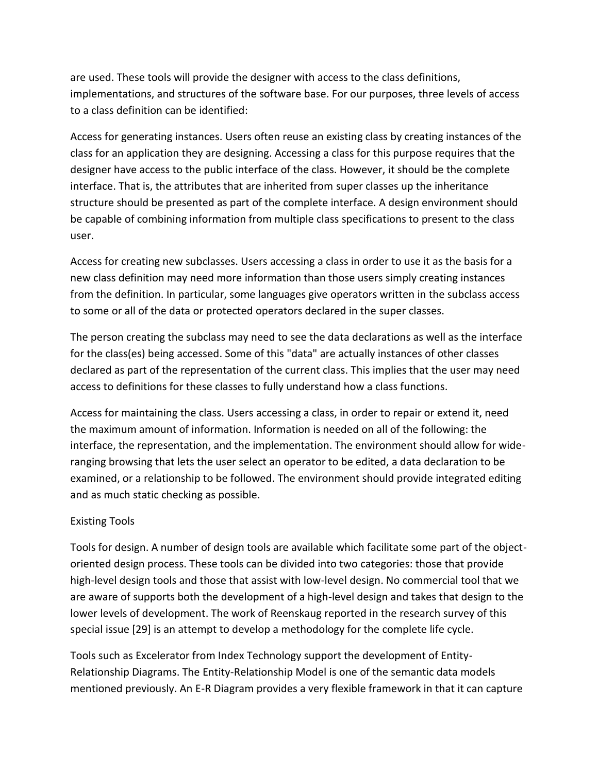are used. These tools will provide the designer with access to the class definitions, implementations, and structures of the software base. For our purposes, three levels of access to a class definition can be identified:

Access for generating instances. Users often reuse an existing class by creating instances of the class for an application they are designing. Accessing a class for this purpose requires that the designer have access to the public interface of the class. However, it should be the complete interface. That is, the attributes that are inherited from super classes up the inheritance structure should be presented as part of the complete interface. A design environment should be capable of combining information from multiple class specifications to present to the class user.

Access for creating new subclasses. Users accessing a class in order to use it as the basis for a new class definition may need more information than those users simply creating instances from the definition. In particular, some languages give operators written in the subclass access to some or all of the data or protected operators declared in the super classes.

The person creating the subclass may need to see the data declarations as well as the interface for the class(es) being accessed. Some of this "data" are actually instances of other classes declared as part of the representation of the current class. This implies that the user may need access to definitions for these classes to fully understand how a class functions.

Access for maintaining the class. Users accessing a class, in order to repair or extend it, need the maximum amount of information. Information is needed on all of the following: the interface, the representation, and the implementation. The environment should allow for wideranging browsing that lets the user select an operator to be edited, a data declaration to be examined, or a relationship to be followed. The environment should provide integrated editing and as much static checking as possible.

# Existing Tools

Tools for design. A number of design tools are available which facilitate some part of the objectoriented design process. These tools can be divided into two categories: those that provide high-level design tools and those that assist with low-level design. No commercial tool that we are aware of supports both the development of a high-level design and takes that design to the lower levels of development. The work of Reenskaug reported in the research survey of this special issue [29] is an attempt to develop a methodology for the complete life cycle.

Tools such as Excelerator from Index Technology support the development of Entity-Relationship Diagrams. The Entity-Relationship Model is one of the semantic data models mentioned previously. An E-R Diagram provides a very flexible framework in that it can capture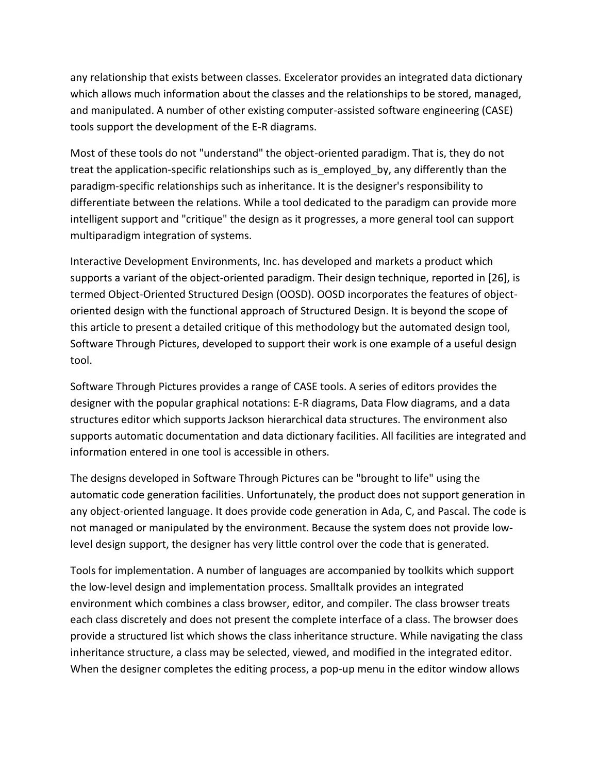any relationship that exists between classes. Excelerator provides an integrated data dictionary which allows much information about the classes and the relationships to be stored, managed, and manipulated. A number of other existing computer-assisted software engineering (CASE) tools support the development of the E-R diagrams.

Most of these tools do not "understand" the object-oriented paradigm. That is, they do not treat the application-specific relationships such as is employed by, any differently than the paradigm-specific relationships such as inheritance. It is the designer's responsibility to differentiate between the relations. While a tool dedicated to the paradigm can provide more intelligent support and "critique" the design as it progresses, a more general tool can support multiparadigm integration of systems.

Interactive Development Environments, Inc. has developed and markets a product which supports a variant of the object-oriented paradigm. Their design technique, reported in [26], is termed Object-Oriented Structured Design (OOSD). OOSD incorporates the features of objectoriented design with the functional approach of Structured Design. It is beyond the scope of this article to present a detailed critique of this methodology but the automated design tool, Software Through Pictures, developed to support their work is one example of a useful design tool.

Software Through Pictures provides a range of CASE tools. A series of editors provides the designer with the popular graphical notations: E-R diagrams, Data Flow diagrams, and a data structures editor which supports Jackson hierarchical data structures. The environment also supports automatic documentation and data dictionary facilities. All facilities are integrated and information entered in one tool is accessible in others.

The designs developed in Software Through Pictures can be "brought to life" using the automatic code generation facilities. Unfortunately, the product does not support generation in any object-oriented language. It does provide code generation in Ada, C, and Pascal. The code is not managed or manipulated by the environment. Because the system does not provide lowlevel design support, the designer has very little control over the code that is generated.

Tools for implementation. A number of languages are accompanied by toolkits which support the low-level design and implementation process. Smalltalk provides an integrated environment which combines a class browser, editor, and compiler. The class browser treats each class discretely and does not present the complete interface of a class. The browser does provide a structured list which shows the class inheritance structure. While navigating the class inheritance structure, a class may be selected, viewed, and modified in the integrated editor. When the designer completes the editing process, a pop-up menu in the editor window allows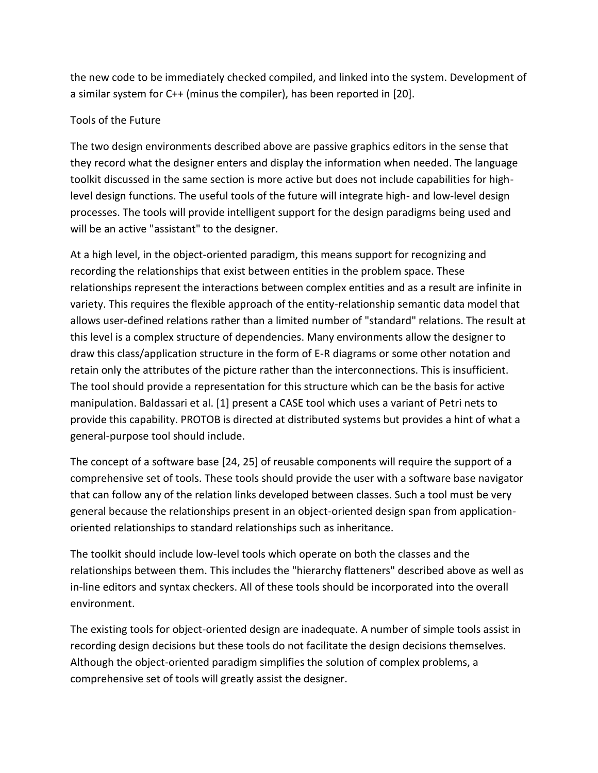the new code to be immediately checked compiled, and linked into the system. Development of a similar system for C++ (minus the compiler), has been reported in [20].

# Tools of the Future

The two design environments described above are passive graphics editors in the sense that they record what the designer enters and display the information when needed. The language toolkit discussed in the same section is more active but does not include capabilities for highlevel design functions. The useful tools of the future will integrate high- and low-level design processes. The tools will provide intelligent support for the design paradigms being used and will be an active "assistant" to the designer.

At a high level, in the object-oriented paradigm, this means support for recognizing and recording the relationships that exist between entities in the problem space. These relationships represent the interactions between complex entities and as a result are infinite in variety. This requires the flexible approach of the entity-relationship semantic data model that allows user-defined relations rather than a limited number of "standard" relations. The result at this level is a complex structure of dependencies. Many environments allow the designer to draw this class/application structure in the form of E-R diagrams or some other notation and retain only the attributes of the picture rather than the interconnections. This is insufficient. The tool should provide a representation for this structure which can be the basis for active manipulation. Baldassari et al. [1] present a CASE tool which uses a variant of Petri nets to provide this capability. PROTOB is directed at distributed systems but provides a hint of what a general-purpose tool should include.

The concept of a software base [24, 25] of reusable components will require the support of a comprehensive set of tools. These tools should provide the user with a software base navigator that can follow any of the relation links developed between classes. Such a tool must be very general because the relationships present in an object-oriented design span from applicationoriented relationships to standard relationships such as inheritance.

The toolkit should include low-level tools which operate on both the classes and the relationships between them. This includes the "hierarchy flatteners" described above as well as in-line editors and syntax checkers. All of these tools should be incorporated into the overall environment.

The existing tools for object-oriented design are inadequate. A number of simple tools assist in recording design decisions but these tools do not facilitate the design decisions themselves. Although the object-oriented paradigm simplifies the solution of complex problems, a comprehensive set of tools will greatly assist the designer.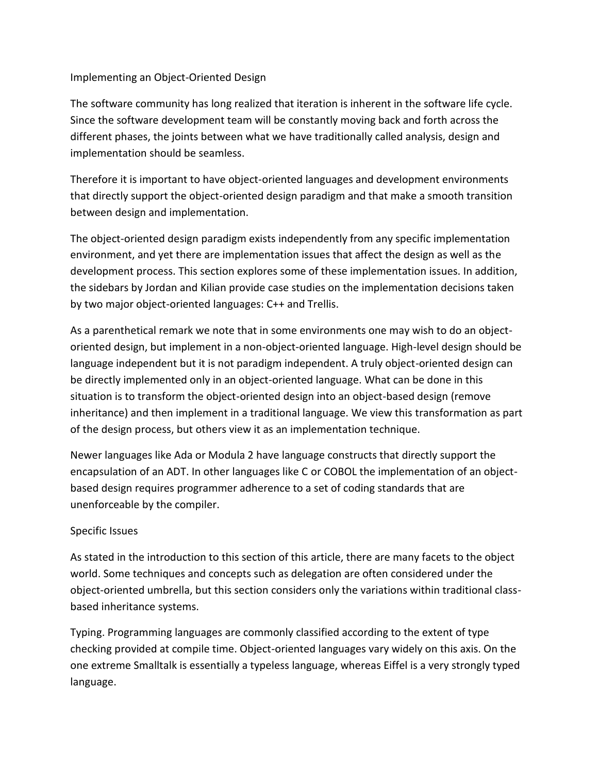# Implementing an Object-Oriented Design

The software community has long realized that iteration is inherent in the software life cycle. Since the software development team will be constantly moving back and forth across the different phases, the joints between what we have traditionally called analysis, design and implementation should be seamless.

Therefore it is important to have object-oriented languages and development environments that directly support the object-oriented design paradigm and that make a smooth transition between design and implementation.

The object-oriented design paradigm exists independently from any specific implementation environment, and yet there are implementation issues that affect the design as well as the development process. This section explores some of these implementation issues. In addition, the sidebars by Jordan and Kilian provide case studies on the implementation decisions taken by two major object-oriented languages: C++ and Trellis.

As a parenthetical remark we note that in some environments one may wish to do an objectoriented design, but implement in a non-object-oriented language. High-level design should be language independent but it is not paradigm independent. A truly object-oriented design can be directly implemented only in an object-oriented language. What can be done in this situation is to transform the object-oriented design into an object-based design (remove inheritance) and then implement in a traditional language. We view this transformation as part of the design process, but others view it as an implementation technique.

Newer languages like Ada or Modula 2 have language constructs that directly support the encapsulation of an ADT. In other languages like C or COBOL the implementation of an objectbased design requires programmer adherence to a set of coding standards that are unenforceable by the compiler.

# Specific Issues

As stated in the introduction to this section of this article, there are many facets to the object world. Some techniques and concepts such as delegation are often considered under the object-oriented umbrella, but this section considers only the variations within traditional classbased inheritance systems.

Typing. Programming languages are commonly classified according to the extent of type checking provided at compile time. Object-oriented languages vary widely on this axis. On the one extreme Smalltalk is essentially a typeless language, whereas Eiffel is a very strongly typed language.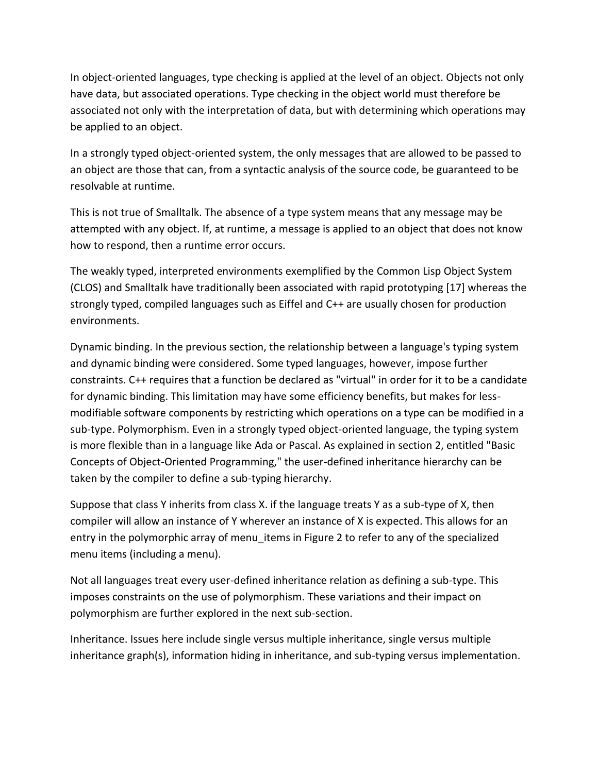In object-oriented languages, type checking is applied at the level of an object. Objects not only have data, but associated operations. Type checking in the object world must therefore be associated not only with the interpretation of data, but with determining which operations may be applied to an object.

In a strongly typed object-oriented system, the only messages that are allowed to be passed to an object are those that can, from a syntactic analysis of the source code, be guaranteed to be resolvable at runtime.

This is not true of Smalltalk. The absence of a type system means that any message may be attempted with any object. If, at runtime, a message is applied to an object that does not know how to respond, then a runtime error occurs.

The weakly typed, interpreted environments exemplified by the Common Lisp Object System (CLOS) and Smalltalk have traditionally been associated with rapid prototyping [17] whereas the strongly typed, compiled languages such as Eiffel and C++ are usually chosen for production environments.

Dynamic binding. In the previous section, the relationship between a language's typing system and dynamic binding were considered. Some typed languages, however, impose further constraints. C++ requires that a function be declared as "virtual" in order for it to be a candidate for dynamic binding. This limitation may have some efficiency benefits, but makes for lessmodifiable software components by restricting which operations on a type can be modified in a sub-type. Polymorphism. Even in a strongly typed object-oriented language, the typing system is more flexible than in a language like Ada or Pascal. As explained in section 2, entitled "Basic Concepts of Object-Oriented Programming," the user-defined inheritance hierarchy can be taken by the compiler to define a sub-typing hierarchy.

Suppose that class Y inherits from class X. if the language treats Y as a sub-type of X, then compiler will allow an instance of Y wherever an instance of X is expected. This allows for an entry in the polymorphic array of menu items in Figure 2 to refer to any of the specialized menu items (including a menu).

Not all languages treat every user-defined inheritance relation as defining a sub-type. This imposes constraints on the use of polymorphism. These variations and their impact on polymorphism are further explored in the next sub-section.

Inheritance. Issues here include single versus multiple inheritance, single versus multiple inheritance graph(s), information hiding in inheritance, and sub-typing versus implementation.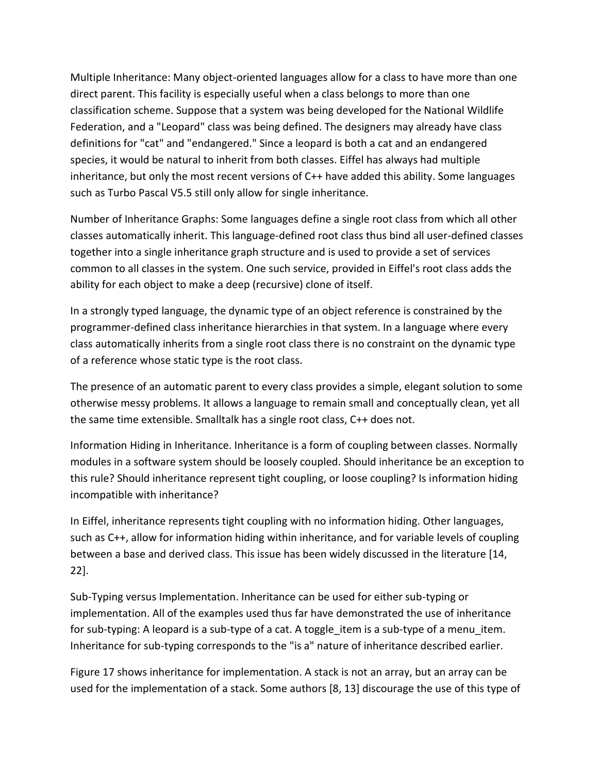Multiple Inheritance: Many object-oriented languages allow for a class to have more than one direct parent. This facility is especially useful when a class belongs to more than one classification scheme. Suppose that a system was being developed for the National Wildlife Federation, and a "Leopard" class was being defined. The designers may already have class definitions for "cat" and "endangered." Since a leopard is both a cat and an endangered species, it would be natural to inherit from both classes. Eiffel has always had multiple inheritance, but only the most recent versions of C++ have added this ability. Some languages such as Turbo Pascal V5.5 still only allow for single inheritance.

Number of Inheritance Graphs: Some languages define a single root class from which all other classes automatically inherit. This language-defined root class thus bind all user-defined classes together into a single inheritance graph structure and is used to provide a set of services common to all classes in the system. One such service, provided in Eiffel's root class adds the ability for each object to make a deep (recursive) clone of itself.

In a strongly typed language, the dynamic type of an object reference is constrained by the programmer-defined class inheritance hierarchies in that system. In a language where every class automatically inherits from a single root class there is no constraint on the dynamic type of a reference whose static type is the root class.

The presence of an automatic parent to every class provides a simple, elegant solution to some otherwise messy problems. It allows a language to remain small and conceptually clean, yet all the same time extensible. Smalltalk has a single root class, C++ does not.

Information Hiding in Inheritance. Inheritance is a form of coupling between classes. Normally modules in a software system should be loosely coupled. Should inheritance be an exception to this rule? Should inheritance represent tight coupling, or loose coupling? Is information hiding incompatible with inheritance?

In Eiffel, inheritance represents tight coupling with no information hiding. Other languages, such as C++, allow for information hiding within inheritance, and for variable levels of coupling between a base and derived class. This issue has been widely discussed in the literature [14, 22].

Sub-Typing versus Implementation. Inheritance can be used for either sub-typing or implementation. All of the examples used thus far have demonstrated the use of inheritance for sub-typing: A leopard is a sub-type of a cat. A toggle item is a sub-type of a menu item. Inheritance for sub-typing corresponds to the "is a" nature of inheritance described earlier.

Figure 17 shows inheritance for implementation. A stack is not an array, but an array can be used for the implementation of a stack. Some authors [8, 13] discourage the use of this type of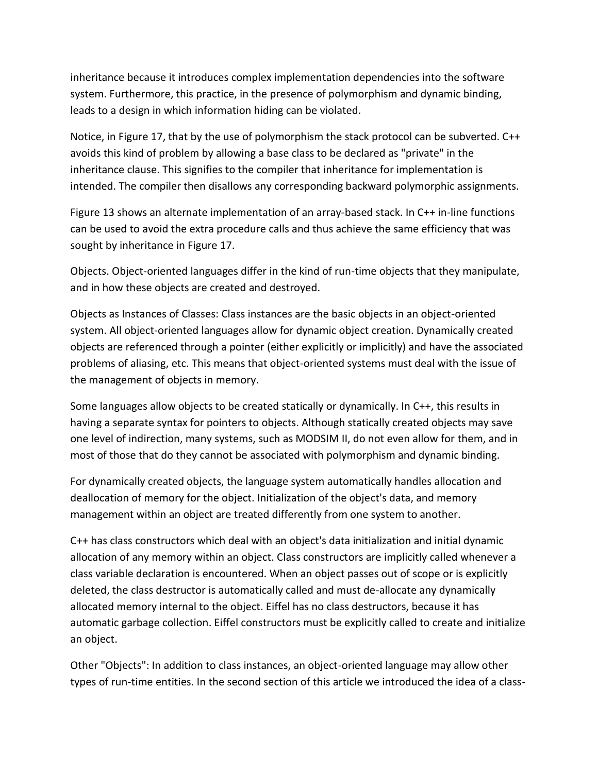inheritance because it introduces complex implementation dependencies into the software system. Furthermore, this practice, in the presence of polymorphism and dynamic binding, leads to a design in which information hiding can be violated.

Notice, in Figure 17, that by the use of polymorphism the stack protocol can be subverted. C++ avoids this kind of problem by allowing a base class to be declared as "private" in the inheritance clause. This signifies to the compiler that inheritance for implementation is intended. The compiler then disallows any corresponding backward polymorphic assignments.

Figure 13 shows an alternate implementation of an array-based stack. In C++ in-line functions can be used to avoid the extra procedure calls and thus achieve the same efficiency that was sought by inheritance in Figure 17.

Objects. Object-oriented languages differ in the kind of run-time objects that they manipulate, and in how these objects are created and destroyed.

Objects as Instances of Classes: Class instances are the basic objects in an object-oriented system. All object-oriented languages allow for dynamic object creation. Dynamically created objects are referenced through a pointer (either explicitly or implicitly) and have the associated problems of aliasing, etc. This means that object-oriented systems must deal with the issue of the management of objects in memory.

Some languages allow objects to be created statically or dynamically. In C++, this results in having a separate syntax for pointers to objects. Although statically created objects may save one level of indirection, many systems, such as MODSIM II, do not even allow for them, and in most of those that do they cannot be associated with polymorphism and dynamic binding.

For dynamically created objects, the language system automatically handles allocation and deallocation of memory for the object. Initialization of the object's data, and memory management within an object are treated differently from one system to another.

C++ has class constructors which deal with an object's data initialization and initial dynamic allocation of any memory within an object. Class constructors are implicitly called whenever a class variable declaration is encountered. When an object passes out of scope or is explicitly deleted, the class destructor is automatically called and must de-allocate any dynamically allocated memory internal to the object. Eiffel has no class destructors, because it has automatic garbage collection. Eiffel constructors must be explicitly called to create and initialize an object.

Other "Objects": In addition to class instances, an object-oriented language may allow other types of run-time entities. In the second section of this article we introduced the idea of a class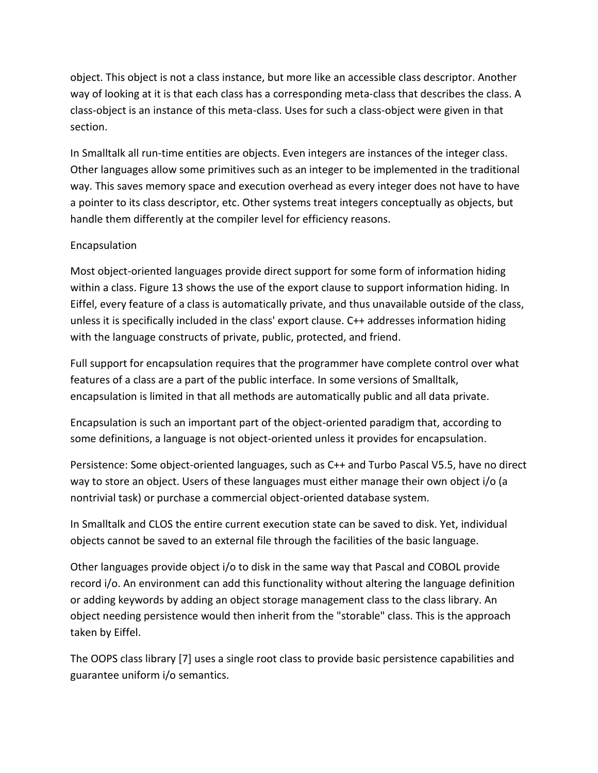object. This object is not a class instance, but more like an accessible class descriptor. Another way of looking at it is that each class has a corresponding meta-class that describes the class. A class-object is an instance of this meta-class. Uses for such a class-object were given in that section.

In Smalltalk all run-time entities are objects. Even integers are instances of the integer class. Other languages allow some primitives such as an integer to be implemented in the traditional way. This saves memory space and execution overhead as every integer does not have to have a pointer to its class descriptor, etc. Other systems treat integers conceptually as objects, but handle them differently at the compiler level for efficiency reasons.

#### Encapsulation

Most object-oriented languages provide direct support for some form of information hiding within a class. Figure 13 shows the use of the export clause to support information hiding. In Eiffel, every feature of a class is automatically private, and thus unavailable outside of the class, unless it is specifically included in the class' export clause. C++ addresses information hiding with the language constructs of private, public, protected, and friend.

Full support for encapsulation requires that the programmer have complete control over what features of a class are a part of the public interface. In some versions of Smalltalk, encapsulation is limited in that all methods are automatically public and all data private.

Encapsulation is such an important part of the object-oriented paradigm that, according to some definitions, a language is not object-oriented unless it provides for encapsulation.

Persistence: Some object-oriented languages, such as C++ and Turbo Pascal V5.5, have no direct way to store an object. Users of these languages must either manage their own object i/o (a nontrivial task) or purchase a commercial object-oriented database system.

In Smalltalk and CLOS the entire current execution state can be saved to disk. Yet, individual objects cannot be saved to an external file through the facilities of the basic language.

Other languages provide object i/o to disk in the same way that Pascal and COBOL provide record i/o. An environment can add this functionality without altering the language definition or adding keywords by adding an object storage management class to the class library. An object needing persistence would then inherit from the "storable" class. This is the approach taken by Eiffel.

The OOPS class library [7] uses a single root class to provide basic persistence capabilities and guarantee uniform i/o semantics.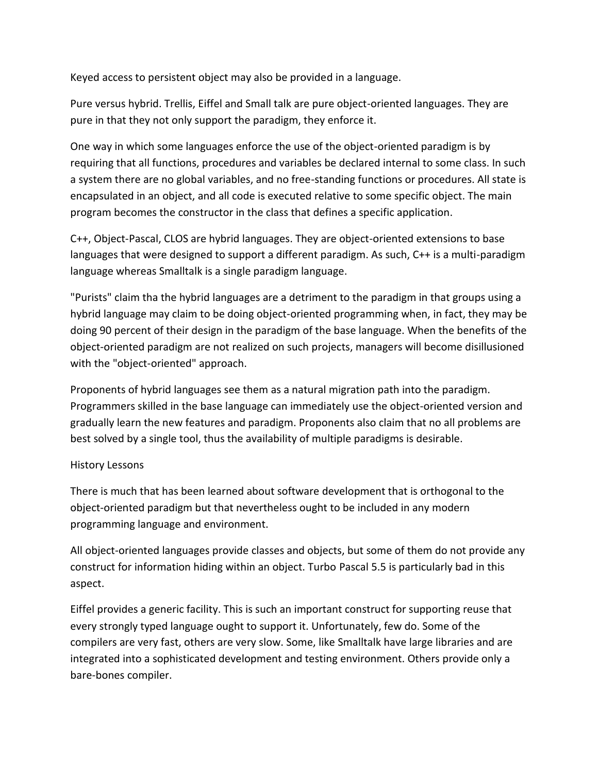Keyed access to persistent object may also be provided in a language.

Pure versus hybrid. Trellis, Eiffel and Small talk are pure object-oriented languages. They are pure in that they not only support the paradigm, they enforce it.

One way in which some languages enforce the use of the object-oriented paradigm is by requiring that all functions, procedures and variables be declared internal to some class. In such a system there are no global variables, and no free-standing functions or procedures. All state is encapsulated in an object, and all code is executed relative to some specific object. The main program becomes the constructor in the class that defines a specific application.

C++, Object-Pascal, CLOS are hybrid languages. They are object-oriented extensions to base languages that were designed to support a different paradigm. As such, C++ is a multi-paradigm language whereas Smalltalk is a single paradigm language.

"Purists" claim tha the hybrid languages are a detriment to the paradigm in that groups using a hybrid language may claim to be doing object-oriented programming when, in fact, they may be doing 90 percent of their design in the paradigm of the base language. When the benefits of the object-oriented paradigm are not realized on such projects, managers will become disillusioned with the "object-oriented" approach.

Proponents of hybrid languages see them as a natural migration path into the paradigm. Programmers skilled in the base language can immediately use the object-oriented version and gradually learn the new features and paradigm. Proponents also claim that no all problems are best solved by a single tool, thus the availability of multiple paradigms is desirable.

# History Lessons

There is much that has been learned about software development that is orthogonal to the object-oriented paradigm but that nevertheless ought to be included in any modern programming language and environment.

All object-oriented languages provide classes and objects, but some of them do not provide any construct for information hiding within an object. Turbo Pascal 5.5 is particularly bad in this aspect.

Eiffel provides a generic facility. This is such an important construct for supporting reuse that every strongly typed language ought to support it. Unfortunately, few do. Some of the compilers are very fast, others are very slow. Some, like Smalltalk have large libraries and are integrated into a sophisticated development and testing environment. Others provide only a bare-bones compiler.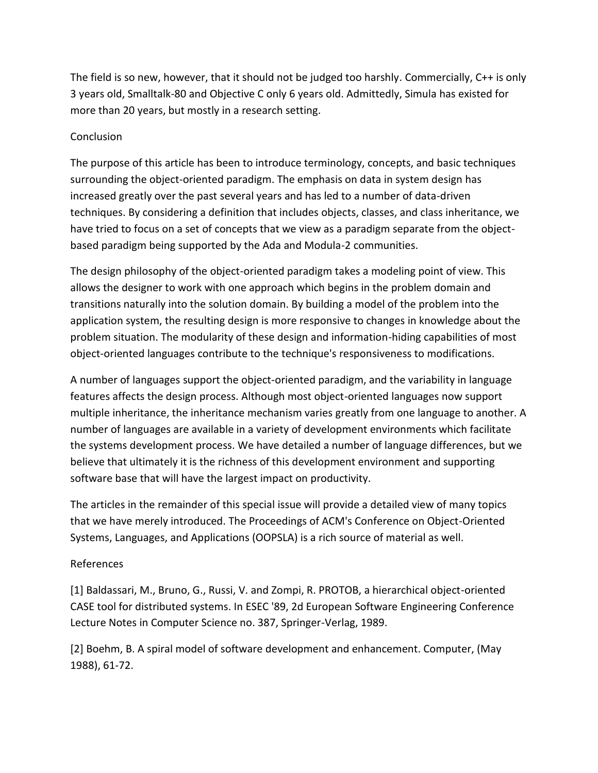The field is so new, however, that it should not be judged too harshly. Commercially, C++ is only 3 years old, Smalltalk-80 and Objective C only 6 years old. Admittedly, Simula has existed for more than 20 years, but mostly in a research setting.

# **Conclusion**

The purpose of this article has been to introduce terminology, concepts, and basic techniques surrounding the object-oriented paradigm. The emphasis on data in system design has increased greatly over the past several years and has led to a number of data-driven techniques. By considering a definition that includes objects, classes, and class inheritance, we have tried to focus on a set of concepts that we view as a paradigm separate from the objectbased paradigm being supported by the Ada and Modula-2 communities.

The design philosophy of the object-oriented paradigm takes a modeling point of view. This allows the designer to work with one approach which begins in the problem domain and transitions naturally into the solution domain. By building a model of the problem into the application system, the resulting design is more responsive to changes in knowledge about the problem situation. The modularity of these design and information-hiding capabilities of most object-oriented languages contribute to the technique's responsiveness to modifications.

A number of languages support the object-oriented paradigm, and the variability in language features affects the design process. Although most object-oriented languages now support multiple inheritance, the inheritance mechanism varies greatly from one language to another. A number of languages are available in a variety of development environments which facilitate the systems development process. We have detailed a number of language differences, but we believe that ultimately it is the richness of this development environment and supporting software base that will have the largest impact on productivity.

The articles in the remainder of this special issue will provide a detailed view of many topics that we have merely introduced. The Proceedings of ACM's Conference on Object-Oriented Systems, Languages, and Applications (OOPSLA) is a rich source of material as well.

# References

[1] Baldassari, M., Bruno, G., Russi, V. and Zompi, R. PROTOB, a hierarchical object-oriented CASE tool for distributed systems. In ESEC '89, 2d European Software Engineering Conference Lecture Notes in Computer Science no. 387, Springer-Verlag, 1989.

[2] Boehm, B. A spiral model of software development and enhancement. Computer, (May 1988), 61-72.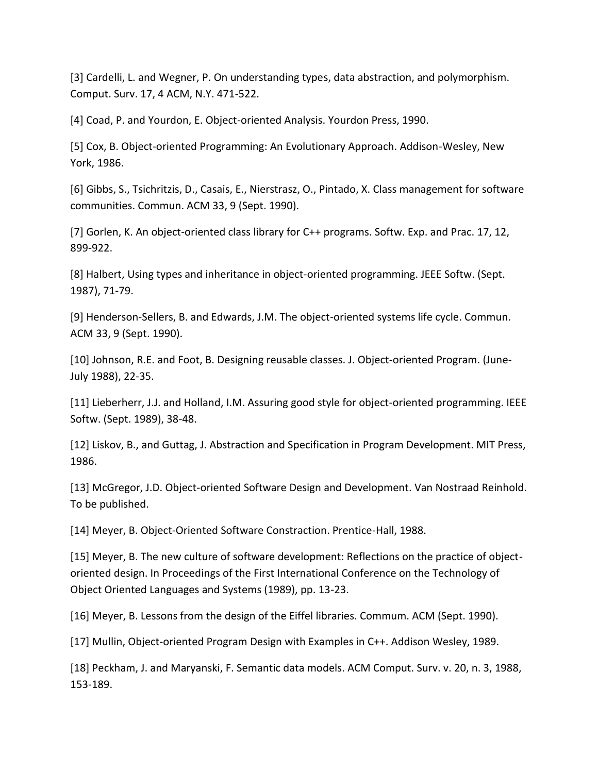[3] Cardelli, L. and Wegner, P. On understanding types, data abstraction, and polymorphism. Comput. Surv. 17, 4 ACM, N.Y. 471-522.

[4] Coad, P. and Yourdon, E. Object-oriented Analysis. Yourdon Press, 1990.

[5] Cox, B. Object-oriented Programming: An Evolutionary Approach. Addison-Wesley, New York, 1986.

[6] Gibbs, S., Tsichritzis, D., Casais, E., Nierstrasz, O., Pintado, X. Class management for software communities. Commun. ACM 33, 9 (Sept. 1990).

[7] Gorlen, K. An object-oriented class library for C++ programs. Softw. Exp. and Prac. 17, 12, 899-922.

[8] Halbert, Using types and inheritance in object-oriented programming. JEEE Softw. (Sept. 1987), 71-79.

[9] Henderson-Sellers, B. and Edwards, J.M. The object-oriented systems life cycle. Commun. ACM 33, 9 (Sept. 1990).

[10] Johnson, R.E. and Foot, B. Designing reusable classes. J. Object-oriented Program. (June-July 1988), 22-35.

[11] Lieberherr, J.J. and Holland, I.M. Assuring good style for object-oriented programming. IEEE Softw. (Sept. 1989), 38-48.

[12] Liskov, B., and Guttag, J. Abstraction and Specification in Program Development. MIT Press, 1986.

[13] McGregor, J.D. Object-oriented Software Design and Development. Van Nostraad Reinhold. To be published.

[14] Meyer, B. Object-Oriented Software Constraction. Prentice-Hall, 1988.

[15] Meyer, B. The new culture of software development: Reflections on the practice of objectoriented design. In Proceedings of the First International Conference on the Technology of Object Oriented Languages and Systems (1989), pp. 13-23.

[16] Meyer, B. Lessons from the design of the Eiffel libraries. Commum. ACM (Sept. 1990).

[17] Mullin, Object-oriented Program Design with Examples in C++. Addison Wesley, 1989.

[18] Peckham, J. and Maryanski, F. Semantic data models. ACM Comput. Surv. v. 20, n. 3, 1988, 153-189.